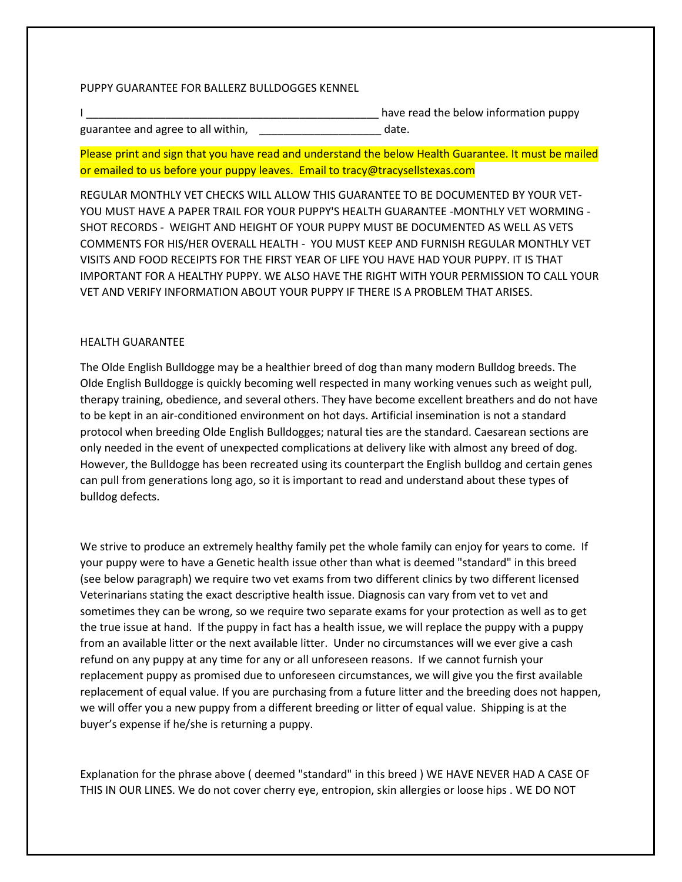## PUPPY GUARANTEE FOR BALLERZ BULLDOGGES KENNEL

|                                    | have read the below information puppy |
|------------------------------------|---------------------------------------|
| guarantee and agree to all within, | date.                                 |

Please print and sign that you have read and understand the below Health Guarantee. It must be mailed or emailed to us before your puppy leaves. Email to tracy@tracysellstexas.com

REGULAR MONTHLY VET CHECKS WILL ALLOW THIS GUARANTEE TO BE DOCUMENTED BY YOUR VET-YOU MUST HAVE A PAPER TRAIL FOR YOUR PUPPY'S HEALTH GUARANTEE -MONTHLY VET WORMING - SHOT RECORDS - WEIGHT AND HEIGHT OF YOUR PUPPY MUST BE DOCUMENTED AS WELL AS VETS COMMENTS FOR HIS/HER OVERALL HEALTH - YOU MUST KEEP AND FURNISH REGULAR MONTHLY VET VISITS AND FOOD RECEIPTS FOR THE FIRST YEAR OF LIFE YOU HAVE HAD YOUR PUPPY. IT IS THAT IMPORTANT FOR A HEALTHY PUPPY. WE ALSO HAVE THE RIGHT WITH YOUR PERMISSION TO CALL YOUR VET AND VERIFY INFORMATION ABOUT YOUR PUPPY IF THERE IS A PROBLEM THAT ARISES.

## HEALTH GUARANTEE

The Olde English Bulldogge may be a healthier breed of dog than many modern Bulldog breeds. The Olde English Bulldogge is quickly becoming well respected in many working venues such as weight pull, therapy training, obedience, and several others. They have become excellent breathers and do not have to be kept in an air-conditioned environment on hot days. Artificial insemination is not a standard protocol when breeding Olde English Bulldogges; natural ties are the standard. Caesarean sections are only needed in the event of unexpected complications at delivery like with almost any breed of dog. However, the Bulldogge has been recreated using its counterpart the English bulldog and certain genes can pull from generations long ago, so it is important to read and understand about these types of bulldog defects.

We strive to produce an extremely healthy family pet the whole family can enjoy for years to come. If your puppy were to have a Genetic health issue other than what is deemed "standard" in this breed (see below paragraph) we require two vet exams from two different clinics by two different licensed Veterinarians stating the exact descriptive health issue. Diagnosis can vary from vet to vet and sometimes they can be wrong, so we require two separate exams for your protection as well as to get the true issue at hand. If the puppy in fact has a health issue, we will replace the puppy with a puppy from an available litter or the next available litter. Under no circumstances will we ever give a cash refund on any puppy at any time for any or all unforeseen reasons. If we cannot furnish your replacement puppy as promised due to unforeseen circumstances, we will give you the first available replacement of equal value. If you are purchasing from a future litter and the breeding does not happen, we will offer you a new puppy from a different breeding or litter of equal value. Shipping is at the buyer's expense if he/she is returning a puppy.

Explanation for the phrase above ( deemed "standard" in this breed ) WE HAVE NEVER HAD A CASE OF THIS IN OUR LINES. We do not cover cherry eye, entropion, skin allergies or loose hips . WE DO NOT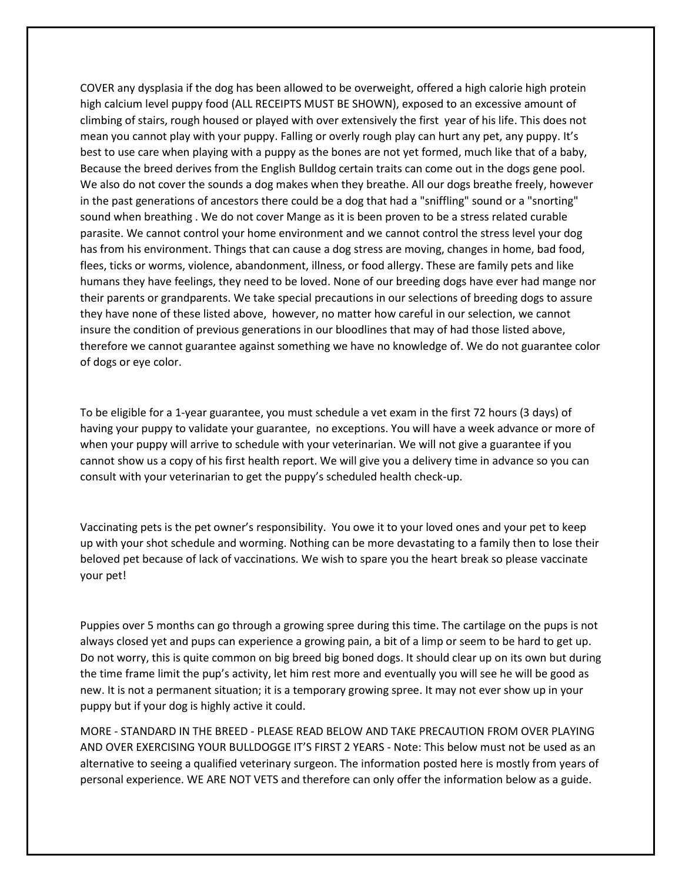COVER any dysplasia if the dog has been allowed to be overweight, offered a high calorie high protein high calcium level puppy food (ALL RECEIPTS MUST BE SHOWN), exposed to an excessive amount of climbing of stairs, rough housed or played with over extensively the first year of his life. This does not mean you cannot play with your puppy. Falling or overly rough play can hurt any pet, any puppy. It's best to use care when playing with a puppy as the bones are not yet formed, much like that of a baby, Because the breed derives from the English Bulldog certain traits can come out in the dogs gene pool. We also do not cover the sounds a dog makes when they breathe. All our dogs breathe freely, however in the past generations of ancestors there could be a dog that had a "sniffling" sound or a "snorting" sound when breathing . We do not cover Mange as it is been proven to be a stress related curable parasite. We cannot control your home environment and we cannot control the stress level your dog has from his environment. Things that can cause a dog stress are moving, changes in home, bad food, flees, ticks or worms, violence, abandonment, illness, or food allergy. These are family pets and like humans they have feelings, they need to be loved. None of our breeding dogs have ever had mange nor their parents or grandparents. We take special precautions in our selections of breeding dogs to assure they have none of these listed above, however, no matter how careful in our selection, we cannot insure the condition of previous generations in our bloodlines that may of had those listed above, therefore we cannot guarantee against something we have no knowledge of. We do not guarantee color of dogs or eye color.

To be eligible for a 1-year guarantee, you must schedule a vet exam in the first 72 hours (3 days) of having your puppy to validate your guarantee, no exceptions. You will have a week advance or more of when your puppy will arrive to schedule with your veterinarian. We will not give a guarantee if you cannot show us a copy of his first health report. We will give you a delivery time in advance so you can consult with your veterinarian to get the puppy's scheduled health check-up.

Vaccinating pets is the pet owner's responsibility. You owe it to your loved ones and your pet to keep up with your shot schedule and worming. Nothing can be more devastating to a family then to lose their beloved pet because of lack of vaccinations. We wish to spare you the heart break so please vaccinate your pet!

Puppies over 5 months can go through a growing spree during this time. The cartilage on the pups is not always closed yet and pups can experience a growing pain, a bit of a limp or seem to be hard to get up. Do not worry, this is quite common on big breed big boned dogs. It should clear up on its own but during the time frame limit the pup's activity, let him rest more and eventually you will see he will be good as new. It is not a permanent situation; it is a temporary growing spree. It may not ever show up in your puppy but if your dog is highly active it could.

MORE - STANDARD IN THE BREED - PLEASE READ BELOW AND TAKE PRECAUTION FROM OVER PLAYING AND OVER EXERCISING YOUR BULLDOGGE IT'S FIRST 2 YEARS - Note: This below must not be used as an alternative to seeing a qualified veterinary surgeon. The information posted here is mostly from years of personal experience. WE ARE NOT VETS and therefore can only offer the information below as a guide.